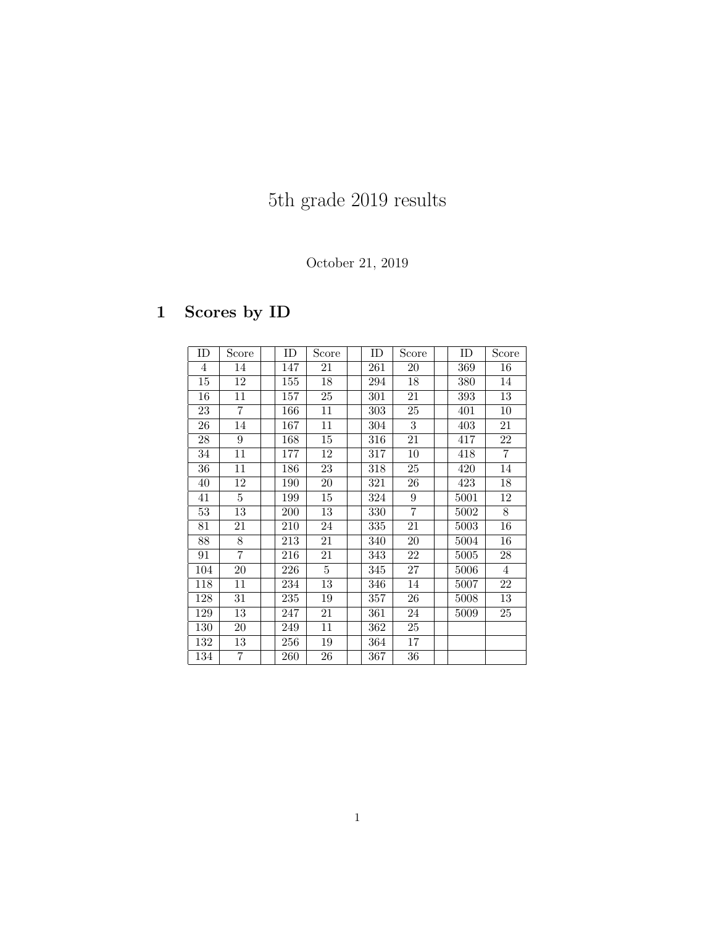# 5th grade 2019 results

#### October 21, 2019

## 1 Scores by ID

| ID             | Score          | ID  | Score | ID  | Score           | ID   | Score          |
|----------------|----------------|-----|-------|-----|-----------------|------|----------------|
| $\overline{4}$ | 14             | 147 | 21    | 261 | 20              | 369  | 16             |
| 15             | 12             | 155 | 18    | 294 | 18              | 380  | 14             |
| 16             | 11             | 157 | 25    | 301 | 21              | 393  | 13             |
| 23             | $\overline{7}$ | 166 | 11    | 303 | 25              | 401  | 10             |
| 26             | 14             | 167 | 11    | 304 | 3               | 403  | 21             |
| 28             | $\overline{9}$ | 168 | 15    | 316 | 21              | 417  | 22             |
| 34             | 11             | 177 | 12    | 317 | 10              | 418  | $\overline{7}$ |
| 36             | 11             | 186 | 23    | 318 | 25              | 420  | 14             |
| 40             | 12             | 190 | 20    | 321 | 26              | 423  | 18             |
| 41             | $\overline{5}$ | 199 | 15    | 324 | 9               | 5001 | 12             |
| 53             | 13             | 200 | 13    | 330 | $\overline{7}$  | 5002 | 8              |
| 81             | 21             | 210 | 24    | 335 | 21              | 5003 | 16             |
| 88             | 8              | 213 | 21    | 340 | $20\,$          | 5004 | 16             |
| 91             | $\overline{7}$ | 216 | 21    | 343 | 22              | 5005 | 28             |
| 104            | 20             | 226 | 5     | 345 | 27              | 5006 | 4              |
| 118            | 11             | 234 | 13    | 346 | 14              | 5007 | 22             |
| 128            | 31             | 235 | 19    | 357 | 26              | 5008 | 13             |
| 129            | 13             | 247 | 21    | 361 | 24              | 5009 | 25             |
| 130            | 20             | 249 | 11    | 362 | 25              |      |                |
| 132            | 13             | 256 | 19    | 364 | 17              |      |                |
| 134            | $\overline{7}$ | 260 | 26    | 367 | $\overline{36}$ |      |                |